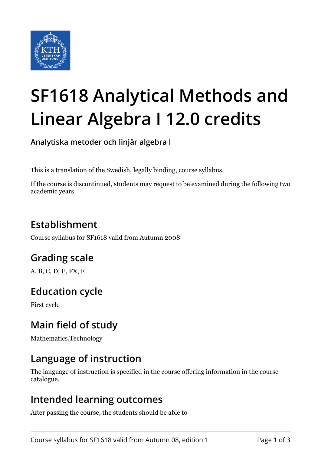

# **SF1618 Analytical Methods and Linear Algebra I 12.0 credits**

**Analytiska metoder och linjär algebra I**

This is a translation of the Swedish, legally binding, course syllabus.

If the course is discontinued, students may request to be examined during the following two academic years

# **Establishment**

Course syllabus for SF1618 valid from Autumn 2008

# **Grading scale**

A, B, C, D, E, FX, F

# **Education cycle**

First cycle

# **Main field of study**

Mathematics,Technology

### **Language of instruction**

The language of instruction is specified in the course offering information in the course catalogue.

### **Intended learning outcomes**

After passing the course, the students should be able to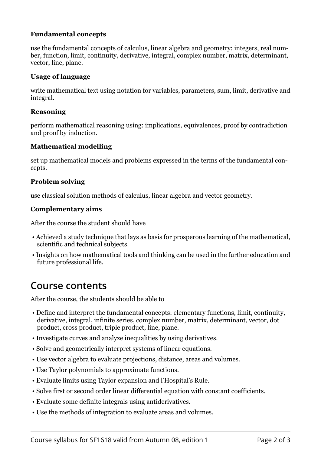#### **Fundamental concepts**

use the fundamental concepts of calculus, linear algebra and geometry: integers, real number, function, limit, continuity, derivative, integral, complex number, matrix, determinant, vector, line, plane.

#### **Usage of language**

write mathematical text using notation for variables, parameters, sum, limit, derivative and integral.

#### **Reasoning**

perform mathematical reasoning using: implications, equivalences, proof by contradiction and proof by induction.

#### **Mathematical modelling**

set up mathematical models and problems expressed in the terms of the fundamental concepts.

#### **Problem solving**

use classical solution methods of calculus, linear algebra and vector geometry.

#### **Complementary aims**

After the course the student should have

- Achieved a study technique that lays as basis for prosperous learning of the mathematical, scientific and technical subjects.
- Insights on how mathematical tools and thinking can be used in the further education and future professional life.

### **Course contents**

After the course, the students should be able to

- Define and interpret the fundamental concepts: elementary functions, limit, continuity, derivative, integral, infinite series, complex number, matrix, determinant, vector, dot product, cross product, triple product, line, plane.
- Investigate curves and analyze inequalities by using derivatives.
- Solve and geometrically interpret systems of linear equations.
- Use vector algebra to evaluate projections, distance, areas and volumes.
- Use Taylor polynomials to approximate functions.
- Evaluate limits using Taylor expansion and l'Hospital's Rule.
- Solve first or second order linear differential equation with constant coefficients.
- Evaluate some definite integrals using antiderivatives.
- Use the methods of integration to evaluate areas and volumes.